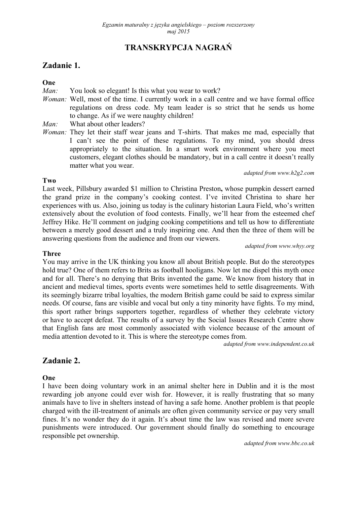# **TRANSKRYPCJA NAGRAŃ**

# **Zadanie 1.**

### **One**

*Man:* You look so elegant! Is this what you wear to work?

*Woman:* Well, most of the time. I currently work in a call centre and we have formal office regulations on dress code. My team leader is so strict that he sends us home to change. As if we were naughty children!

*Man:* What about other leaders?

*Woman:* They let their staff wear jeans and T-shirts. That makes me mad, especially that I can't see the point of these regulations. To my mind, you should dress appropriately to the situation. In a smart work environment where you meet customers, elegant clothes should be mandatory, but in a call centre it doesn't really matter what you wear.

*adapted from www.h2g2.com* 

#### **Two**

Last week, Pillsbury awarded \$1 million to Christina Preston**,** whose pumpkin dessert earned the grand prize in the company's cooking contest. I've invited Christina to share her experiences with us. Also, joining us today is the culinary historian Laura Field, who's written extensively about the evolution of food contests. Finally, we'll hear from the esteemed chef Jeffrey Hike. He'll comment on judging cooking competitions and tell us how to differentiate between a merely good dessert and a truly inspiring one. And then the three of them will be answering questions from the audience and from our viewers.

*adapted from www.whyy.org* 

#### **Three**

You may arrive in the UK thinking you know all about British people. But do the stereotypes hold true? One of them refers to Brits as football hooligans. Now let me dispel this myth once and for all. There's no denying that Brits invented the game. We know from history that in ancient and medieval times, sports events were sometimes held to settle disagreements. With its seemingly bizarre tribal loyalties, the modern British game could be said to express similar needs. Of course, fans are visible and vocal but only a tiny minority have fights. To my mind, this sport rather brings supporters together, regardless of whether they celebrate victory or have to accept defeat. The results of a survey by the Social Issues Research Centre show that English fans are most commonly associated with violence because of the amount of media attention devoted to it. This is where the stereotype comes from.

*adapted from www.independent.co.uk* 

# **Zadanie 2.**

### **One**

I have been doing voluntary work in an animal shelter here in Dublin and it is the most rewarding job anyone could ever wish for. However, it is really frustrating that so many animals have to live in shelters instead of having a safe home. Another problem is that people charged with the ill-treatment of animals are often given community service or pay very small fines. It's no wonder they do it again. It's about time the law was revised and more severe punishments were introduced. Our government should finally do something to encourage responsible pet ownership.

*adapted from www.bbc.co.uk*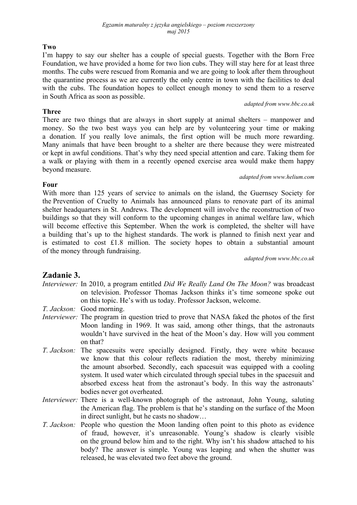### **Two**

I'm happy to say our shelter has a couple of special guests. Together with the Born Free Foundation, we have provided a home for two lion cubs. They will stay here for at least three months. The cubs were rescued from Romania and we are going to look after them throughout the quarantine process as we are currently the only centre in town with the facilities to deal with the cubs. The foundation hopes to collect enough money to send them to a reserve in South Africa as soon as possible.

### **Three**

**Four**

There are two things that are always in short supply at animal shelters – manpower and money. So the two best ways you can help are by volunteering your time or making a donation. If you really love animals, the first option will be much more rewarding. Many animals that have been brought to a shelter are there because they were mistreated or kept in awful conditions. That's why they need special attention and care. Taking them for a walk or playing with them in a recently opened exercise area would make them happy beyond measure.

#### *adapted from www.helium.com*

*adapted from www.bbc.co.uk*

With more than 125 years of service to animals on the island, the Guernsey Society for the Prevention of Cruelty to Animals has announced plans to renovate part of its animal shelter headquarters in St. Andrews. The development will involve the reconstruction of two buildings so that they will conform to the upcoming changes in animal welfare law, which will become effective this September. When the work is completed, the shelter will have a building that's up to the highest standards. The work is planned to finish next year and is estimated to cost £1.8 million. The society hopes to obtain a substantial amount of the money through fundraising.

*adapted from www.bbc.co.uk*

# **Zadanie 3.**

- *Interviewer:* In 2010, a program entitled *Did We Really Land On The Moon?* was broadcast on television. Professor Thomas Jackson thinks it's time someone spoke out on this topic. He's with us today. Professor Jackson, welcome.
- *T. Jackson:* Good morning.
- *Interviewer:* The program in question tried to prove that NASA faked the photos of the first Moon landing in 1969. It was said, among other things, that the astronauts wouldn't have survived in the heat of the Moon's day. How will you comment on that?
- *T. Jackson:* The spacesuits were specially designed. Firstly, they were white because we know that this colour reflects radiation the most, thereby minimizing the amount absorbed. Secondly, each spacesuit was equipped with a cooling system. It used water which circulated through special tubes in the spacesuit and absorbed excess heat from the astronaut's body. In this way the astronauts' bodies never got overheated.
- *Interviewer:* There is a well-known photograph of the astronaut, John Young, saluting the American flag. The problem is that he's standing on the surface of the Moon in direct sunlight, but he casts no shadow…
- *T. Jackson:* People who question the Moon landing often point to this photo as evidence of fraud, however, it's unreasonable. Young's shadow is clearly visible on the ground below him and to the right. Why isn't his shadow attached to his body? The answer is simple. Young was leaping and when the shutter was released, he was elevated two feet above the ground.